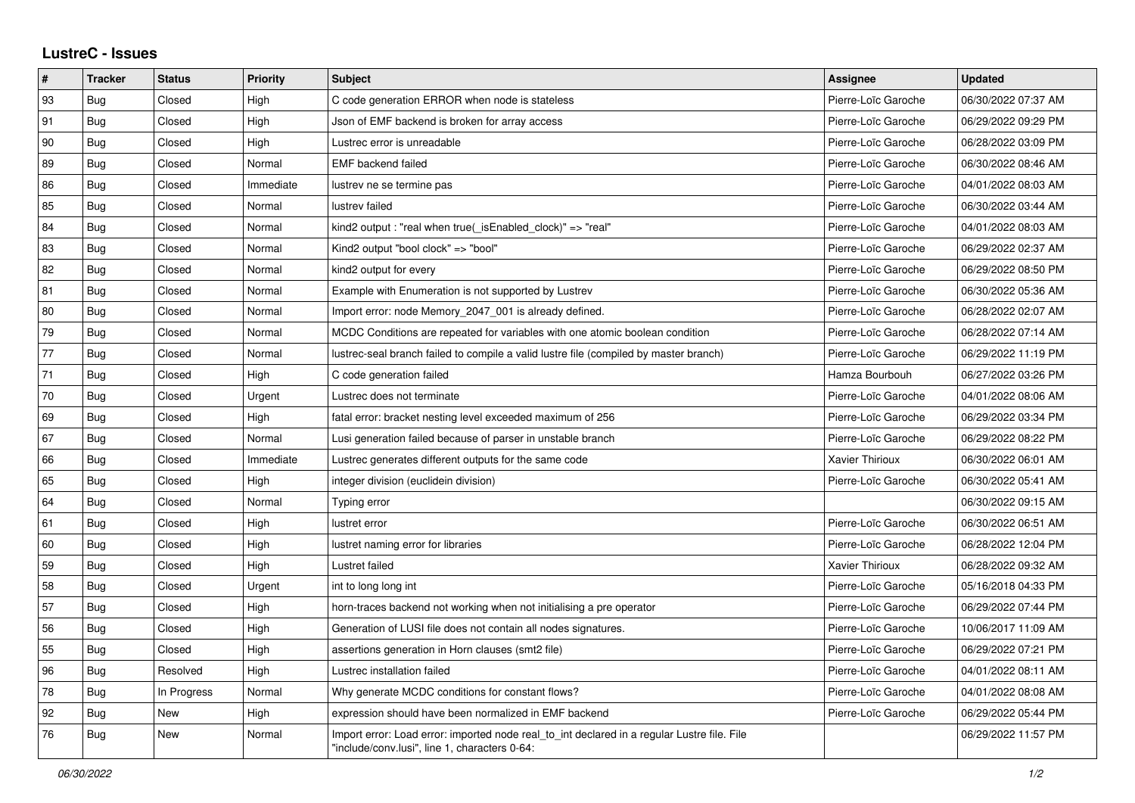## **LustreC - Issues**

| #  | <b>Tracker</b> | <b>Status</b> | <b>Priority</b> | <b>Subject</b>                                                                                                                               | <b>Assignee</b>     | <b>Updated</b>      |
|----|----------------|---------------|-----------------|----------------------------------------------------------------------------------------------------------------------------------------------|---------------------|---------------------|
| 93 | Bug            | Closed        | High            | C code generation ERROR when node is stateless                                                                                               | Pierre-Loïc Garoche | 06/30/2022 07:37 AM |
| 91 | <b>Bug</b>     | Closed        | High            | Json of EMF backend is broken for array access                                                                                               | Pierre-Loïc Garoche | 06/29/2022 09:29 PM |
| 90 | <b>Bug</b>     | Closed        | High            | Lustrec error is unreadable                                                                                                                  | Pierre-Loïc Garoche | 06/28/2022 03:09 PM |
| 89 | <b>Bug</b>     | Closed        | Normal          | <b>EMF</b> backend failed                                                                                                                    | Pierre-Loïc Garoche | 06/30/2022 08:46 AM |
| 86 | Bug            | Closed        | Immediate       | lustrev ne se termine pas                                                                                                                    | Pierre-Loïc Garoche | 04/01/2022 08:03 AM |
| 85 | <b>Bug</b>     | Closed        | Normal          | lustrev failed                                                                                                                               | Pierre-Loïc Garoche | 06/30/2022 03:44 AM |
| 84 | <b>Bug</b>     | Closed        | Normal          | kind2 output: "real when true( isEnabled clock)" => "real"                                                                                   | Pierre-Loïc Garoche | 04/01/2022 08:03 AM |
| 83 | Bug            | Closed        | Normal          | Kind2 output "bool clock" => "bool"                                                                                                          | Pierre-Loïc Garoche | 06/29/2022 02:37 AM |
| 82 | <b>Bug</b>     | Closed        | Normal          | kind <sub>2</sub> output for every                                                                                                           | Pierre-Loïc Garoche | 06/29/2022 08:50 PM |
| 81 | Bug            | Closed        | Normal          | Example with Enumeration is not supported by Lustrev                                                                                         | Pierre-Loïc Garoche | 06/30/2022 05:36 AM |
| 80 | <b>Bug</b>     | Closed        | Normal          | Import error: node Memory_2047_001 is already defined.                                                                                       | Pierre-Loïc Garoche | 06/28/2022 02:07 AM |
| 79 | <b>Bug</b>     | Closed        | Normal          | MCDC Conditions are repeated for variables with one atomic boolean condition                                                                 | Pierre-Loïc Garoche | 06/28/2022 07:14 AM |
| 77 | Bug            | Closed        | Normal          | lustrec-seal branch failed to compile a valid lustre file (compiled by master branch)                                                        | Pierre-Loïc Garoche | 06/29/2022 11:19 PM |
| 71 | Bug            | Closed        | High            | C code generation failed                                                                                                                     | Hamza Bourbouh      | 06/27/2022 03:26 PM |
| 70 | Bug            | Closed        | Urgent          | Lustrec does not terminate                                                                                                                   | Pierre-Loïc Garoche | 04/01/2022 08:06 AM |
| 69 | Bug            | Closed        | High            | fatal error: bracket nesting level exceeded maximum of 256                                                                                   | Pierre-Loïc Garoche | 06/29/2022 03:34 PM |
| 67 | Bug            | Closed        | Normal          | Lusi generation failed because of parser in unstable branch                                                                                  | Pierre-Loïc Garoche | 06/29/2022 08:22 PM |
| 66 | Bug            | Closed        | Immediate       | Lustrec generates different outputs for the same code                                                                                        | Xavier Thirioux     | 06/30/2022 06:01 AM |
| 65 | Bug            | Closed        | High            | integer division (euclidein division)                                                                                                        | Pierre-Loïc Garoche | 06/30/2022 05:41 AM |
| 64 | <b>Bug</b>     | Closed        | Normal          | Typing error                                                                                                                                 |                     | 06/30/2022 09:15 AM |
| 61 | <b>Bug</b>     | Closed        | High            | lustret error                                                                                                                                | Pierre-Loïc Garoche | 06/30/2022 06:51 AM |
| 60 | <b>Bug</b>     | Closed        | High            | lustret naming error for libraries                                                                                                           | Pierre-Loïc Garoche | 06/28/2022 12:04 PM |
| 59 | <b>Bug</b>     | Closed        | High            | Lustret failed                                                                                                                               | Xavier Thirioux     | 06/28/2022 09:32 AM |
| 58 | <b>Bug</b>     | Closed        | Urgent          | int to long long int                                                                                                                         | Pierre-Loïc Garoche | 05/16/2018 04:33 PM |
| 57 | <b>Bug</b>     | Closed        | High            | horn-traces backend not working when not initialising a pre operator                                                                         | Pierre-Loïc Garoche | 06/29/2022 07:44 PM |
| 56 | <b>Bug</b>     | Closed        | High            | Generation of LUSI file does not contain all nodes signatures.                                                                               | Pierre-Loïc Garoche | 10/06/2017 11:09 AM |
| 55 | Bug            | Closed        | High            | assertions generation in Horn clauses (smt2 file)                                                                                            | Pierre-Loïc Garoche | 06/29/2022 07:21 PM |
| 96 | <b>Bug</b>     | Resolved      | High            | Lustrec installation failed                                                                                                                  | Pierre-Loïc Garoche | 04/01/2022 08:11 AM |
| 78 | Bug            | In Progress   | Normal          | Why generate MCDC conditions for constant flows?                                                                                             | Pierre-Loïc Garoche | 04/01/2022 08:08 AM |
| 92 | <b>Bug</b>     | New           | High            | expression should have been normalized in EMF backend                                                                                        | Pierre-Loïc Garoche | 06/29/2022 05:44 PM |
| 76 | Bug            | New           | Normal          | Import error: Load error: imported node real to int declared in a regular Lustre file. File<br>"include/conv.lusi", line 1, characters 0-64: |                     | 06/29/2022 11:57 PM |